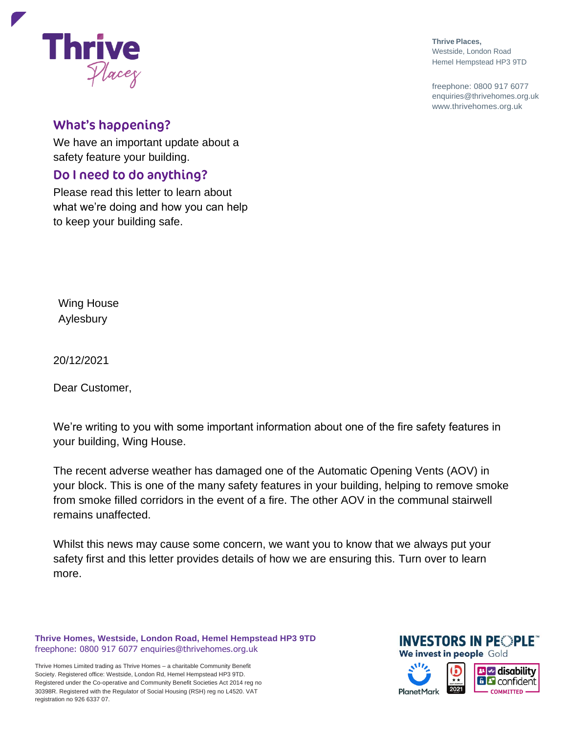# **What's happening?**

Placez

**Thrive** 

We have an important update about a safety feature your building.

#### Do I need to do anything?

Please read this letter to learn about what we're doing and how you can help to keep your building safe.

Wing House Aylesbury

20/12/2021

Dear Customer,

We're writing to you with some important information about one of the fire safety features in your building, Wing House.

The recent adverse weather has damaged one of the Automatic Opening Vents (AOV) in your block. This is one of the many safety features in your building, helping to remove smoke from smoke filled corridors in the event of a fire. The other AOV in the communal stairwell remains unaffected.

Whilst this news may cause some concern, we want you to know that we always put your safety first and this letter provides details of how we are ensuring this. Turn over to learn more.

**Thrive Homes, Westside, London Road, Hemel Hempstead HP3 9TD** freephone: 0800 917 6077 [enquiries@thrivehomes.org.uk](mailto:enquiries@thrivehomes.org.uk)

Thrive Homes Limited trading as Thrive Homes – a charitable Community Benefit Society. Registered office: Westside, London Rd, Hemel Hempstead HP3 9TD. Registered under the Co-operative and Community Benefit Societies Act 2014 reg no 30398R. Registered with the Regulator of Social Housing (RSH) reg no L4520. VAT registration no 926 6337 07.



freephone: 0800 917 6077 [enquiries@thrivehomes.org.uk](mailto:enquiries@thrivehomes.org.uk) [www.thrivehomes.org.uk](http://www.thrivehomes.org.uk/)



We invest in people Gold

**INVESTORS IN PEOPLE**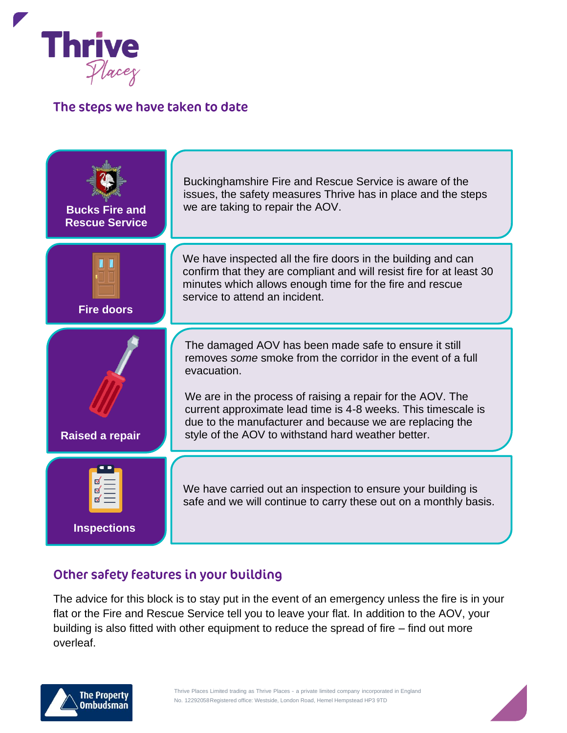

## The steps we have taken to date



## Other safety features in your building

The advice for this block is to stay put in the event of an emergency unless the fire is in your flat or the Fire and Rescue Service tell you to leave your flat. In addition to the AOV, your building is also fitted with other equipment to reduce the spread of fire – find out more overleaf.

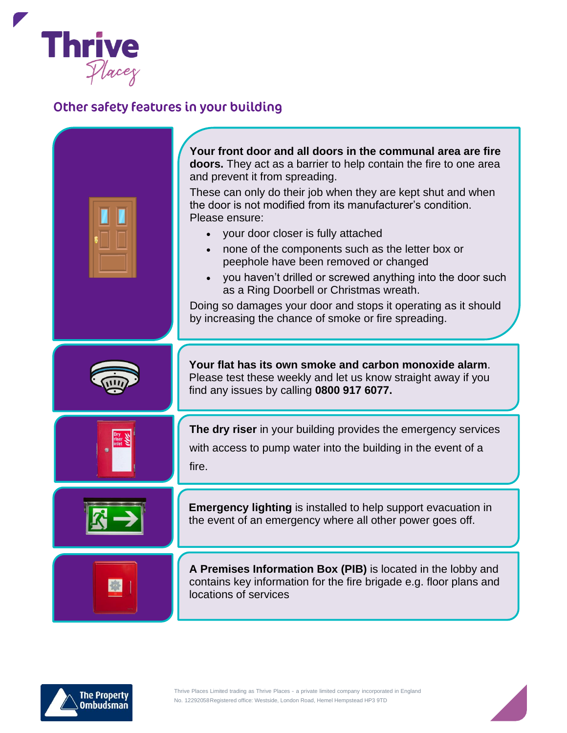

# Other safety features in your building